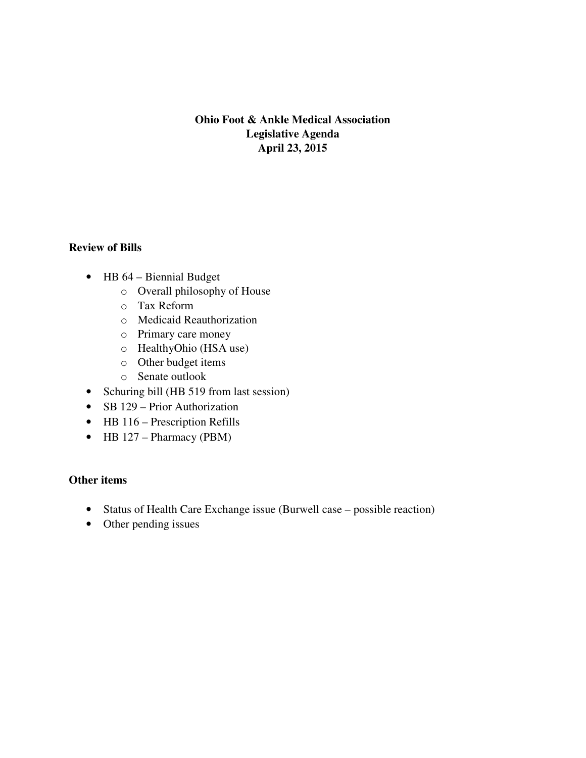# **Ohio Foot & Ankle Medical Association Legislative Agenda April 23, 2015**

## **Review of Bills**

- HB 64 Biennial Budget
	- o Overall philosophy of House
	- o Tax Reform
	- o Medicaid Reauthorization
	- o Primary care money
	- o HealthyOhio (HSA use)
	- o Other budget items
	- o Senate outlook
- Schuring bill (HB 519 from last session)
- SB 129 Prior Authorization
- HB 116 Prescription Refills
- HB 127 Pharmacy (PBM)

# **Other items**

- Status of Health Care Exchange issue (Burwell case possible reaction)
- Other pending issues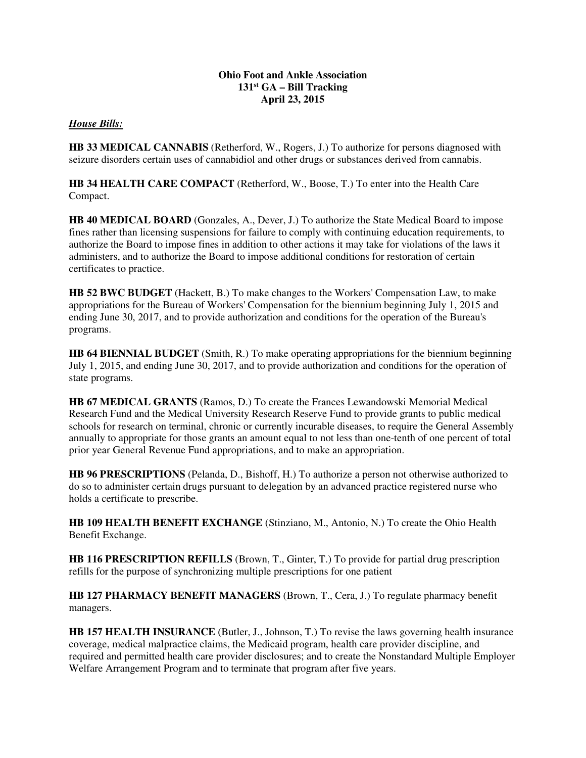#### **Ohio Foot and Ankle Association 131st GA – Bill Tracking April 23, 2015**

### *House Bills:*

**HB 33 MEDICAL CANNABIS** (Retherford, W., Rogers, J.) To authorize for persons diagnosed with seizure disorders certain uses of cannabidiol and other drugs or substances derived from cannabis.

**HB 34 HEALTH CARE COMPACT** (Retherford, W., Boose, T.) To enter into the Health Care Compact.

**HB 40 MEDICAL BOARD** (Gonzales, A., Dever, J.) To authorize the State Medical Board to impose fines rather than licensing suspensions for failure to comply with continuing education requirements, to authorize the Board to impose fines in addition to other actions it may take for violations of the laws it administers, and to authorize the Board to impose additional conditions for restoration of certain certificates to practice.

**HB 52 BWC BUDGET** (Hackett, B.) To make changes to the Workers' Compensation Law, to make appropriations for the Bureau of Workers' Compensation for the biennium beginning July 1, 2015 and ending June 30, 2017, and to provide authorization and conditions for the operation of the Bureau's programs.

**HB 64 BIENNIAL BUDGET** (Smith, R.) To make operating appropriations for the biennium beginning July 1, 2015, and ending June 30, 2017, and to provide authorization and conditions for the operation of state programs.

**HB 67 MEDICAL GRANTS** (Ramos, D.) To create the Frances Lewandowski Memorial Medical Research Fund and the Medical University Research Reserve Fund to provide grants to public medical schools for research on terminal, chronic or currently incurable diseases, to require the General Assembly annually to appropriate for those grants an amount equal to not less than one-tenth of one percent of total prior year General Revenue Fund appropriations, and to make an appropriation.

**HB 96 PRESCRIPTIONS** (Pelanda, D., Bishoff, H.) To authorize a person not otherwise authorized to do so to administer certain drugs pursuant to delegation by an advanced practice registered nurse who holds a certificate to prescribe.

**HB 109 HEALTH BENEFIT EXCHANGE** (Stinziano, M., Antonio, N.) To create the Ohio Health Benefit Exchange.

**HB 116 PRESCRIPTION REFILLS** (Brown, T., Ginter, T.) To provide for partial drug prescription refills for the purpose of synchronizing multiple prescriptions for one patient

**HB 127 PHARMACY BENEFIT MANAGERS** (Brown, T., Cera, J.) To regulate pharmacy benefit managers.

**HB 157 HEALTH INSURANCE** (Butler, J., Johnson, T.) To revise the laws governing health insurance coverage, medical malpractice claims, the Medicaid program, health care provider discipline, and required and permitted health care provider disclosures; and to create the Nonstandard Multiple Employer Welfare Arrangement Program and to terminate that program after five years.